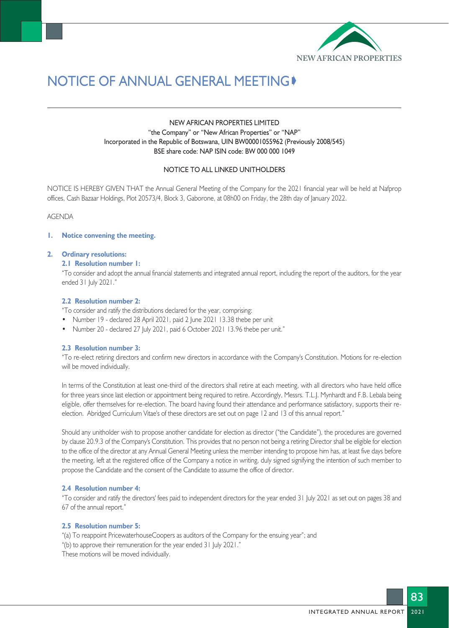

# NOTICE OF ANNUAL GENERAL MEETING

# NEW AFRICAN PROPERTIES LIMITED "the Company" or "New African Properties" or "NAP" Incorporated in the Republic of Botswana, UIN BW00001055962 (Previously 2008/545) BSE share code: NAP ISIN code: BW 000 000 1049

## NOTICE TO ALL LINKED UNITHOLDERS

NOTICE IS HEREBY GIVEN THAT the Annual General Meeting of the Company for the 2021 financial year will be held at Nafprop offices, Cash Bazaar Holdings, Plot 20573/4, Block 3, Gaborone, at 08h00 on Friday, the 28th day of January 2022.

AGENDA

## **1. Notice convening the meeting.**

#### **2. Ordinary resolutions:**

## **2.1 Resolution number 1:**

"To consider and adopt the annual financial statements and integrated annual report, including the report of the auditors, for the year ended 31 July 2021."

#### **2.2 Resolution number 2:**

- "To consider and ratify the distributions declared for the year, comprising:
- Number 19 declared 28 April 2021, paid 2 June 2021 13.38 thebe per unit
- Number 20 declared 27 July 2021, paid 6 October 2021 13.96 thebe per unit."

## **2.3 Resolution number 3:**

"To re-elect retiring directors and confirm new directors in accordance with the Company's Constitution. Motions for re-election will be moved individually.

In terms of the Constitution at least one-third of the directors shall retire at each meeting, with all directors who have held office for three years since last election or appointment being required to retire. Accordingly, Messrs. T.L.J. Mynhardt and F.B. Lebala being eligible, offer themselves for re-election. The board having found their attendance and performance satisfactory, supports their reelection. Abridged Curriculum Vitae's of these directors are set out on page 12 and 13 of this annual report."

Should any unitholder wish to propose another candidate for election as director ("the Candidate"), the procedures are governed by clause 20.9.3 of the Company's Constitution. This provides that no person not being a retiring Director shall be eligible for election to the office of the director at any Annual General Meeting unless the member intending to propose him has, at least five days before the meeting, left at the registered office of the Company a notice in writing, duly signed signifying the intention of such member to propose the Candidate and the consent of the Candidate to assume the office of director.

### **2.4 Resolution number 4:**

"To consider and ratify the directors' fees paid to independent directors for the year ended 31 July 2021 as set out on pages 38 and 67 of the annual report."

# **2.5 Resolution number 5:**

"(a) To reappoint PricewaterhouseCoopers as auditors of the Company for the ensuing year"; and

"(b) to approve their remuneration for the year ended 31 July 2021."

These motions will be moved individually.

83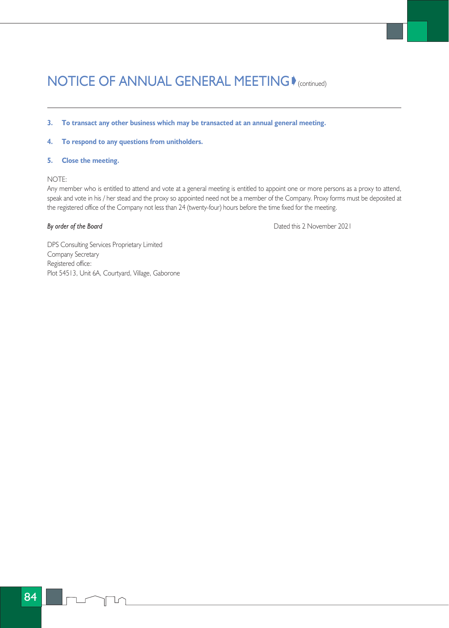# NOTICE OF ANNUAL GENERAL MEETING (COntinued)

- **3. To transact any other business which may be transacted at an annual general meeting.**
- **4. To respond to any questions from unitholders.**

# **5. Close the meeting.**

# NOTE:

Any member who is entitled to attend and vote at a general meeting is entitled to appoint one or more persons as a proxy to attend, speak and vote in his / her stead and the proxy so appointed need not be a member of the Company. Proxy forms must be deposited at the registered office of the Company not less than 24 (twenty-four) hours before the time fixed for the meeting.

**By order of the Board** Dated this 2 November 2021

DPS Consulting Services Proprietary Limited Company Secretary Registered office: Plot 54513, Unit 6A, Courtyard, Village, Gaborone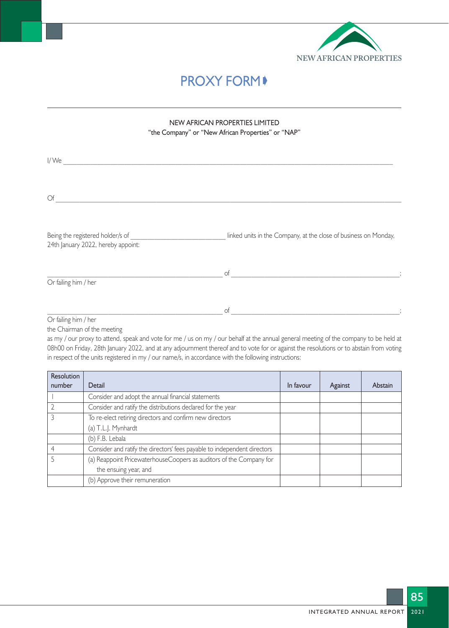

# **PROXY FORM**♦

# NEW AFRICAN PROPERTIES LIMITED "the Company" or "New African Properties" or "NAP"

| I/We                                                                   |                                                                  |
|------------------------------------------------------------------------|------------------------------------------------------------------|
|                                                                        |                                                                  |
| $\bigcirc$ f                                                           |                                                                  |
| Being the registered holder/s of<br>24th January 2022, hereby appoint: | linked units in the Company, at the close of business on Monday, |
| Or failing him / her                                                   | of                                                               |
|                                                                        | of                                                               |

Or failing him / her

the Chairman of the meeting

as my / our proxy to attend, speak and vote for me / us on my / our behalf at the annual general meeting of the company to be held at 08h00 on Friday, 28th January 2022, and at any adjournment thereof and to vote for or against the resolutions or to abstain from voting in respect of the units registered in my / our name/s, in accordance with the following instructions:

| <b>Resolution</b> |                                                                          |           |         |         |
|-------------------|--------------------------------------------------------------------------|-----------|---------|---------|
| number            | Detail                                                                   | In favour | Against | Abstain |
|                   | Consider and adopt the annual financial statements                       |           |         |         |
|                   | Consider and ratify the distributions declared for the year              |           |         |         |
|                   | To re-elect retiring directors and confirm new directors                 |           |         |         |
|                   | (a) T.L.J. Mynhardt                                                      |           |         |         |
|                   | (b) F.B. Lebala                                                          |           |         |         |
|                   | Consider and ratify the directors' fees payable to independent directors |           |         |         |
|                   | (a) Reappoint PricewaterhouseCoopers as auditors of the Company for      |           |         |         |
|                   | the ensuing year, and                                                    |           |         |         |
|                   | (b) Approve their remuneration                                           |           |         |         |

85